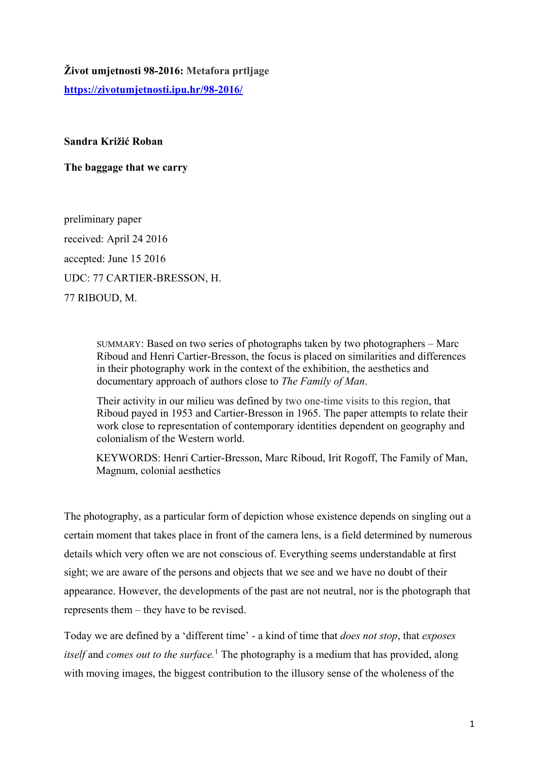## **Život umjetnosti 98-2016: Metafora prtljage**

**https://zivotumjetnosti.ipu.hr/98-2016/**

## **Sandra Križić Roban**

**The baggage that we carry** 

preliminary paper received: April 24 2016 accepted: June 15 2016 UDC: 77 CARTIER-BRESSON, H. 77 RIBOUD, M.

> SUMMARY: Based on two series of photographs taken by two photographers – Marc Riboud and Henri Cartier-Bresson, the focus is placed on similarities and differences in their photography work in the context of the exhibition, the aesthetics and documentary approach of authors close to *The Family of Man*.

> Their activity in our milieu was defined by two one-time visits to this region, that Riboud payed in 1953 and Cartier-Bresson in 1965. The paper attempts to relate their work close to representation of contemporary identities dependent on geography and colonialism of the Western world.

> KEYWORDS: Henri Cartier-Bresson, Marc Riboud, Irit Rogoff, The Family of Man, Magnum, colonial aesthetics

The photography, as a particular form of depiction whose existence depends on singling out a certain moment that takes place in front of the camera lens, is a field determined by numerous details which very often we are not conscious of. Everything seems understandable at first sight; we are aware of the persons and objects that we see and we have no doubt of their appearance. However, the developments of the past are not neutral, nor is the photograph that represents them – they have to be revised.

Today we are defined by a 'different time' - a kind of time that *does not stop*, that *exposes*  itself and *comes out to the surface*.<sup>1</sup> The photography is a medium that has provided, along with moving images, the biggest contribution to the illusory sense of the wholeness of the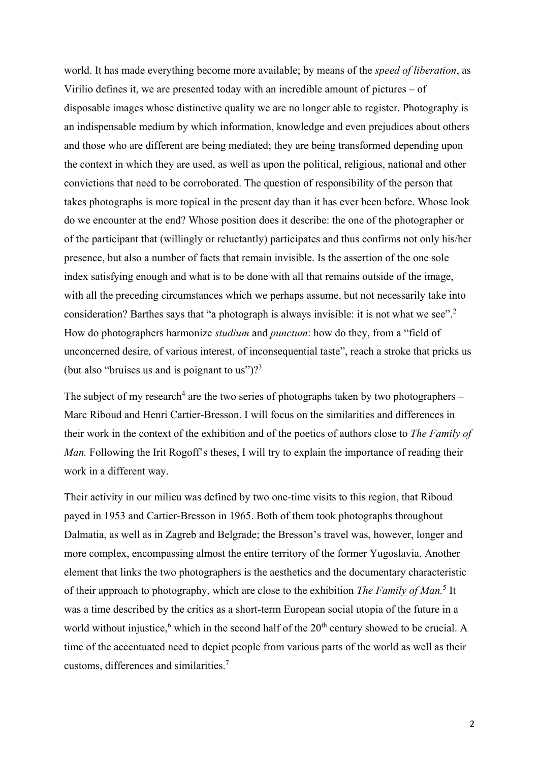world. It has made everything become more available; by means of the *speed of liberation*, as Virilio defines it, we are presented today with an incredible amount of pictures – of disposable images whose distinctive quality we are no longer able to register. Photography is an indispensable medium by which information, knowledge and even prejudices about others and those who are different are being mediated; they are being transformed depending upon the context in which they are used, as well as upon the political, religious, national and other convictions that need to be corroborated. The question of responsibility of the person that takes photographs is more topical in the present day than it has ever been before. Whose look do we encounter at the end? Whose position does it describe: the one of the photographer or of the participant that (willingly or reluctantly) participates and thus confirms not only his/her presence, but also a number of facts that remain invisible. Is the assertion of the one sole index satisfying enough and what is to be done with all that remains outside of the image, with all the preceding circumstances which we perhaps assume, but not necessarily take into consideration? Barthes says that "a photograph is always invisible: it is not what we see".<sup>2</sup> How do photographers harmonize *studium* and *punctum*: how do they, from a "field of unconcerned desire, of various interest, of inconsequential taste", reach a stroke that pricks us (but also "bruises us and is poignant to us")? $3^3$ 

The subject of my research<sup>4</sup> are the two series of photographs taken by two photographers  $-$ Marc Riboud and Henri Cartier-Bresson. I will focus on the similarities and differences in their work in the context of the exhibition and of the poetics of authors close to *The Family of Man.* Following the Irit Rogoff's theses, I will try to explain the importance of reading their work in a different way.

Their activity in our milieu was defined by two one-time visits to this region, that Riboud payed in 1953 and Cartier-Bresson in 1965. Both of them took photographs throughout Dalmatia, as well as in Zagreb and Belgrade; the Bresson's travel was, however, longer and more complex, encompassing almost the entire territory of the former Yugoslavia. Another element that links the two photographers is the aesthetics and the documentary characteristic of their approach to photography, which are close to the exhibition *The Family of Man*.<sup>5</sup> It was a time described by the critics as a short-term European social utopia of the future in a world without injustice,<sup>6</sup> which in the second half of the  $20<sup>th</sup>$  century showed to be crucial. A time of the accentuated need to depict people from various parts of the world as well as their customs, differences and similarities.7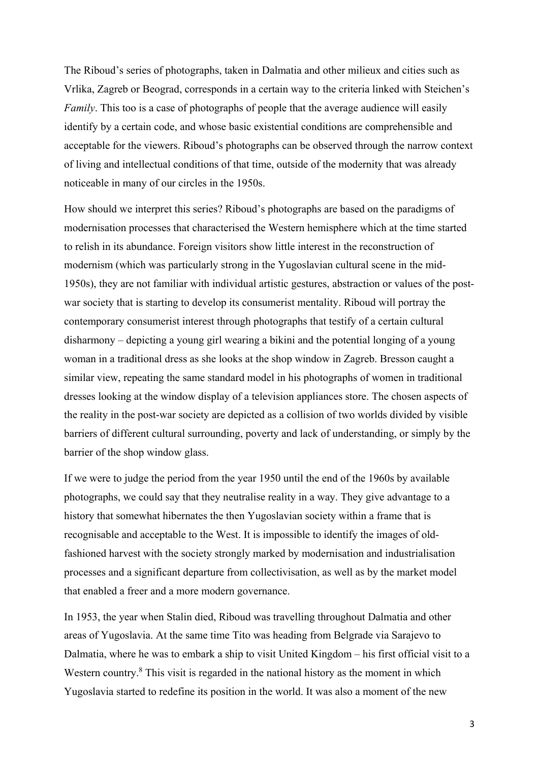The Riboud's series of photographs, taken in Dalmatia and other milieux and cities such as Vrlika, Zagreb or Beograd, corresponds in a certain way to the criteria linked with Steichen's *Family*. This too is a case of photographs of people that the average audience will easily identify by a certain code, and whose basic existential conditions are comprehensible and acceptable for the viewers. Riboud's photographs can be observed through the narrow context of living and intellectual conditions of that time, outside of the modernity that was already noticeable in many of our circles in the 1950s.

How should we interpret this series? Riboud's photographs are based on the paradigms of modernisation processes that characterised the Western hemisphere which at the time started to relish in its abundance. Foreign visitors show little interest in the reconstruction of modernism (which was particularly strong in the Yugoslavian cultural scene in the mid-1950s), they are not familiar with individual artistic gestures, abstraction or values of the postwar society that is starting to develop its consumerist mentality. Riboud will portray the contemporary consumerist interest through photographs that testify of a certain cultural disharmony – depicting a young girl wearing a bikini and the potential longing of a young woman in a traditional dress as she looks at the shop window in Zagreb. Bresson caught a similar view, repeating the same standard model in his photographs of women in traditional dresses looking at the window display of a television appliances store. The chosen aspects of the reality in the post-war society are depicted as a collision of two worlds divided by visible barriers of different cultural surrounding, poverty and lack of understanding, or simply by the barrier of the shop window glass.

If we were to judge the period from the year 1950 until the end of the 1960s by available photographs, we could say that they neutralise reality in a way. They give advantage to a history that somewhat hibernates the then Yugoslavian society within a frame that is recognisable and acceptable to the West. It is impossible to identify the images of oldfashioned harvest with the society strongly marked by modernisation and industrialisation processes and a significant departure from collectivisation, as well as by the market model that enabled a freer and a more modern governance.

In 1953, the year when Stalin died, Riboud was travelling throughout Dalmatia and other areas of Yugoslavia. At the same time Tito was heading from Belgrade via Sarajevo to Dalmatia, where he was to embark a ship to visit United Kingdom – his first official visit to a Western country.<sup>8</sup> This visit is regarded in the national history as the moment in which Yugoslavia started to redefine its position in the world. It was also a moment of the new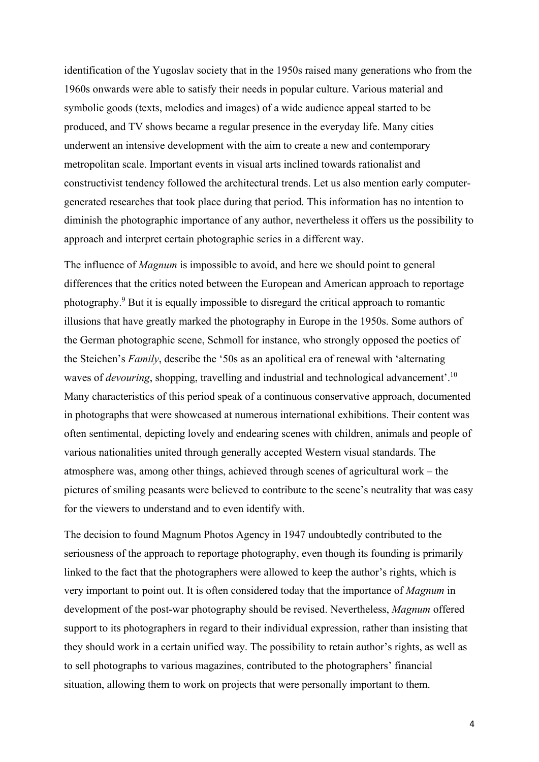identification of the Yugoslav society that in the 1950s raised many generations who from the 1960s onwards were able to satisfy their needs in popular culture. Various material and symbolic goods (texts, melodies and images) of a wide audience appeal started to be produced, and TV shows became a regular presence in the everyday life. Many cities underwent an intensive development with the aim to create a new and contemporary metropolitan scale. Important events in visual arts inclined towards rationalist and constructivist tendency followed the architectural trends. Let us also mention early computergenerated researches that took place during that period. This information has no intention to diminish the photographic importance of any author, nevertheless it offers us the possibility to approach and interpret certain photographic series in a different way.

The influence of *Magnum* is impossible to avoid, and here we should point to general differences that the critics noted between the European and American approach to reportage photography.<sup>9</sup> But it is equally impossible to disregard the critical approach to romantic illusions that have greatly marked the photography in Europe in the 1950s. Some authors of the German photographic scene, Schmoll for instance, who strongly opposed the poetics of the Steichen's *Family*, describe the '50s as an apolitical era of renewal with 'alternating waves of *devouring*, shopping, travelling and industrial and technological advancement'.10 Many characteristics of this period speak of a continuous conservative approach, documented in photographs that were showcased at numerous international exhibitions. Their content was often sentimental, depicting lovely and endearing scenes with children, animals and people of various nationalities united through generally accepted Western visual standards. The atmosphere was, among other things, achieved through scenes of agricultural work – the pictures of smiling peasants were believed to contribute to the scene's neutrality that was easy for the viewers to understand and to even identify with.

The decision to found Magnum Photos Agency in 1947 undoubtedly contributed to the seriousness of the approach to reportage photography, even though its founding is primarily linked to the fact that the photographers were allowed to keep the author's rights, which is very important to point out. It is often considered today that the importance of *Magnum* in development of the post-war photography should be revised. Nevertheless, *Magnum* offered support to its photographers in regard to their individual expression, rather than insisting that they should work in a certain unified way. The possibility to retain author's rights, as well as to sell photographs to various magazines, contributed to the photographers' financial situation, allowing them to work on projects that were personally important to them.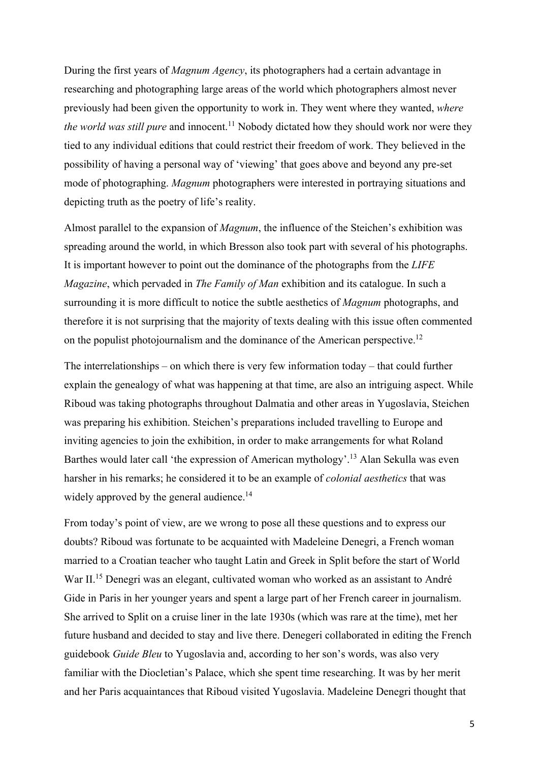During the first years of *Magnum Agency*, its photographers had a certain advantage in researching and photographing large areas of the world which photographers almost never previously had been given the opportunity to work in. They went where they wanted, *where the world was still pure* and innocent.<sup>11</sup> Nobody dictated how they should work nor were they tied to any individual editions that could restrict their freedom of work. They believed in the possibility of having a personal way of 'viewing' that goes above and beyond any pre-set mode of photographing. *Magnum* photographers were interested in portraying situations and depicting truth as the poetry of life's reality.

Almost parallel to the expansion of *Magnum*, the influence of the Steichen's exhibition was spreading around the world, in which Bresson also took part with several of his photographs. It is important however to point out the dominance of the photographs from the *LIFE Magazine*, which pervaded in *The Family of Man* exhibition and its catalogue. In such a surrounding it is more difficult to notice the subtle aesthetics of *Magnum* photographs, and therefore it is not surprising that the majority of texts dealing with this issue often commented on the populist photojournalism and the dominance of the American perspective.<sup>12</sup>

The interrelationships – on which there is very few information today – that could further explain the genealogy of what was happening at that time, are also an intriguing aspect. While Riboud was taking photographs throughout Dalmatia and other areas in Yugoslavia, Steichen was preparing his exhibition. Steichen's preparations included travelling to Europe and inviting agencies to join the exhibition, in order to make arrangements for what Roland Barthes would later call 'the expression of American mythology'.<sup>13</sup> Alan Sekulla was even harsher in his remarks; he considered it to be an example of *colonial aesthetics* that was widely approved by the general audience.<sup>14</sup>

From today's point of view, are we wrong to pose all these questions and to express our doubts? Riboud was fortunate to be acquainted with Madeleine Denegri, a French woman married to a Croatian teacher who taught Latin and Greek in Split before the start of World War II.<sup>15</sup> Denegri was an elegant, cultivated woman who worked as an assistant to André Gide in Paris in her younger years and spent a large part of her French career in journalism. She arrived to Split on a cruise liner in the late 1930s (which was rare at the time), met her future husband and decided to stay and live there. Denegeri collaborated in editing the French guidebook *Guide Bleu* to Yugoslavia and, according to her son's words, was also very familiar with the Diocletian's Palace, which she spent time researching. It was by her merit and her Paris acquaintances that Riboud visited Yugoslavia. Madeleine Denegri thought that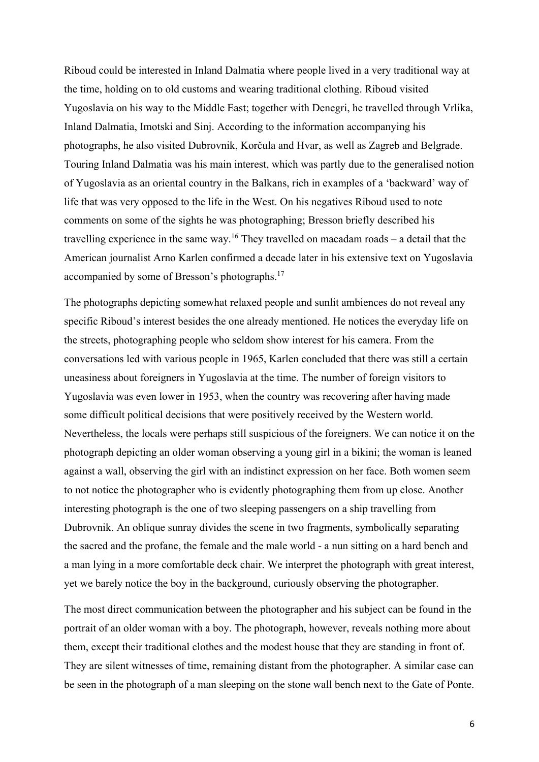Riboud could be interested in Inland Dalmatia where people lived in a very traditional way at the time, holding on to old customs and wearing traditional clothing. Riboud visited Yugoslavia on his way to the Middle East; together with Denegri, he travelled through Vrlika, Inland Dalmatia, Imotski and Sinj. According to the information accompanying his photographs, he also visited Dubrovnik, Korčula and Hvar, as well as Zagreb and Belgrade. Touring Inland Dalmatia was his main interest, which was partly due to the generalised notion of Yugoslavia as an oriental country in the Balkans, rich in examples of a 'backward' way of life that was very opposed to the life in the West. On his negatives Riboud used to note comments on some of the sights he was photographing; Bresson briefly described his travelling experience in the same way.<sup>16</sup> They travelled on macadam roads – a detail that the American journalist Arno Karlen confirmed a decade later in his extensive text on Yugoslavia accompanied by some of Bresson's photographs.17

The photographs depicting somewhat relaxed people and sunlit ambiences do not reveal any specific Riboud's interest besides the one already mentioned. He notices the everyday life on the streets, photographing people who seldom show interest for his camera. From the conversations led with various people in 1965, Karlen concluded that there was still a certain uneasiness about foreigners in Yugoslavia at the time. The number of foreign visitors to Yugoslavia was even lower in 1953, when the country was recovering after having made some difficult political decisions that were positively received by the Western world. Nevertheless, the locals were perhaps still suspicious of the foreigners. We can notice it on the photograph depicting an older woman observing a young girl in a bikini; the woman is leaned against a wall, observing the girl with an indistinct expression on her face. Both women seem to not notice the photographer who is evidently photographing them from up close. Another interesting photograph is the one of two sleeping passengers on a ship travelling from Dubrovnik. An oblique sunray divides the scene in two fragments, symbolically separating the sacred and the profane, the female and the male world - a nun sitting on a hard bench and a man lying in a more comfortable deck chair. We interpret the photograph with great interest, yet we barely notice the boy in the background, curiously observing the photographer.

The most direct communication between the photographer and his subject can be found in the portrait of an older woman with a boy. The photograph, however, reveals nothing more about them, except their traditional clothes and the modest house that they are standing in front of. They are silent witnesses of time, remaining distant from the photographer. A similar case can be seen in the photograph of a man sleeping on the stone wall bench next to the Gate of Ponte.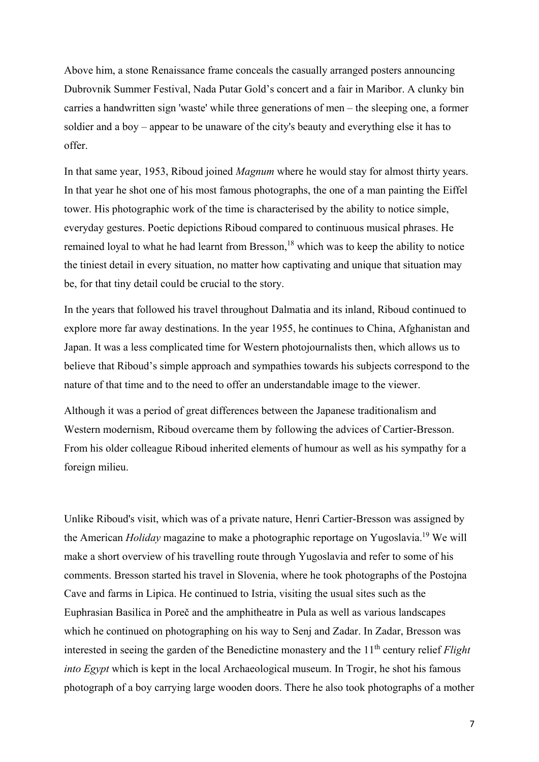Above him, a stone Renaissance frame conceals the casually arranged posters announcing Dubrovnik Summer Festival, Nada Putar Gold's concert and a fair in Maribor. A clunky bin carries a handwritten sign 'waste' while three generations of men – the sleeping one, a former soldier and a boy – appear to be unaware of the city's beauty and everything else it has to offer.

In that same year, 1953, Riboud joined *Magnum* where he would stay for almost thirty years. In that year he shot one of his most famous photographs, the one of a man painting the Eiffel tower. His photographic work of the time is characterised by the ability to notice simple, everyday gestures. Poetic depictions Riboud compared to continuous musical phrases. He remained loyal to what he had learnt from Bresson,<sup>18</sup> which was to keep the ability to notice the tiniest detail in every situation, no matter how captivating and unique that situation may be, for that tiny detail could be crucial to the story.

In the years that followed his travel throughout Dalmatia and its inland, Riboud continued to explore more far away destinations. In the year 1955, he continues to China, Afghanistan and Japan. It was a less complicated time for Western photojournalists then, which allows us to believe that Riboud's simple approach and sympathies towards his subjects correspond to the nature of that time and to the need to offer an understandable image to the viewer.

Although it was a period of great differences between the Japanese traditionalism and Western modernism, Riboud overcame them by following the advices of Cartier-Bresson. From his older colleague Riboud inherited elements of humour as well as his sympathy for a foreign milieu.

Unlike Riboud's visit, which was of a private nature, Henri Cartier-Bresson was assigned by the American *Holiday* magazine to make a photographic reportage on Yugoslavia.19 We will make a short overview of his travelling route through Yugoslavia and refer to some of his comments. Bresson started his travel in Slovenia, where he took photographs of the Postojna Cave and farms in Lipica. He continued to Istria, visiting the usual sites such as the Euphrasian Basilica in Poreč and the amphitheatre in Pula as well as various landscapes which he continued on photographing on his way to Senj and Zadar. In Zadar, Bresson was interested in seeing the garden of the Benedictine monastery and the 11<sup>th</sup> century relief *Flight into Egypt* which is kept in the local Archaeological museum. In Trogir, he shot his famous photograph of a boy carrying large wooden doors. There he also took photographs of a mother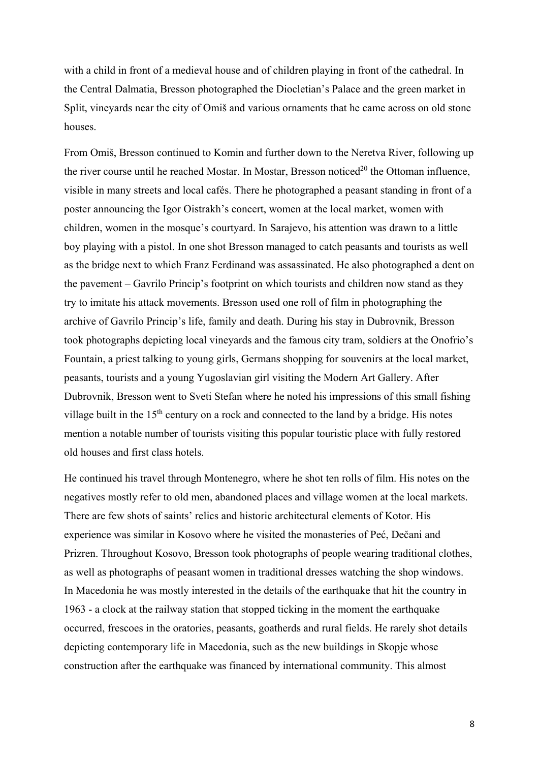with a child in front of a medieval house and of children playing in front of the cathedral. In the Central Dalmatia, Bresson photographed the Diocletian's Palace and the green market in Split, vineyards near the city of Omiš and various ornaments that he came across on old stone houses.

From Omiš, Bresson continued to Komin and further down to the Neretva River, following up the river course until he reached Mostar. In Mostar, Bresson noticed<sup>20</sup> the Ottoman influence, visible in many streets and local cafés. There he photographed a peasant standing in front of a poster announcing the Igor Oistrakh's concert, women at the local market, women with children, women in the mosque's courtyard. In Sarajevo, his attention was drawn to a little boy playing with a pistol. In one shot Bresson managed to catch peasants and tourists as well as the bridge next to which Franz Ferdinand was assassinated. He also photographed a dent on the pavement – Gavrilo Princip's footprint on which tourists and children now stand as they try to imitate his attack movements. Bresson used one roll of film in photographing the archive of Gavrilo Princip's life, family and death. During his stay in Dubrovnik, Bresson took photographs depicting local vineyards and the famous city tram, soldiers at the Onofrio's Fountain, a priest talking to young girls, Germans shopping for souvenirs at the local market, peasants, tourists and a young Yugoslavian girl visiting the Modern Art Gallery. After Dubrovnik, Bresson went to Sveti Stefan where he noted his impressions of this small fishing village built in the  $15<sup>th</sup>$  century on a rock and connected to the land by a bridge. His notes mention a notable number of tourists visiting this popular touristic place with fully restored old houses and first class hotels.

He continued his travel through Montenegro, where he shot ten rolls of film. His notes on the negatives mostly refer to old men, abandoned places and village women at the local markets. There are few shots of saints' relics and historic architectural elements of Kotor. His experience was similar in Kosovo where he visited the monasteries of Peć, Dečani and Prizren. Throughout Kosovo, Bresson took photographs of people wearing traditional clothes, as well as photographs of peasant women in traditional dresses watching the shop windows. In Macedonia he was mostly interested in the details of the earthquake that hit the country in 1963 - a clock at the railway station that stopped ticking in the moment the earthquake occurred, frescoes in the oratories, peasants, goatherds and rural fields. He rarely shot details depicting contemporary life in Macedonia, such as the new buildings in Skopje whose construction after the earthquake was financed by international community. This almost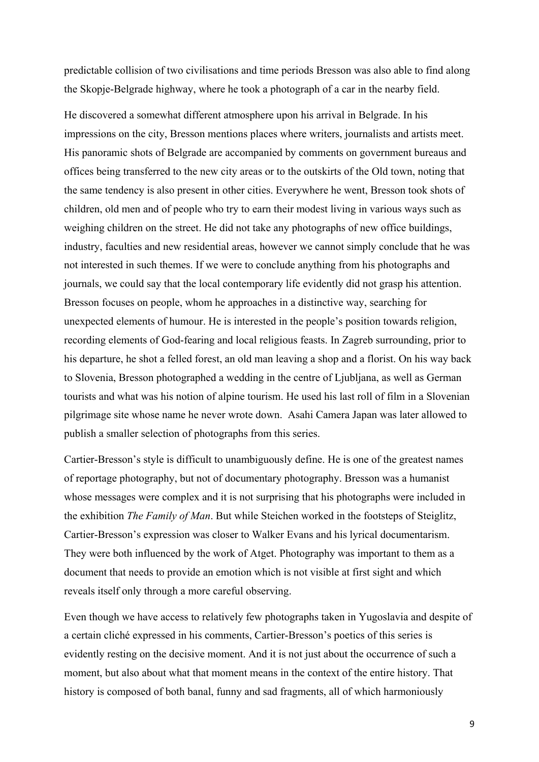predictable collision of two civilisations and time periods Bresson was also able to find along the Skopje-Belgrade highway, where he took a photograph of a car in the nearby field.

He discovered a somewhat different atmosphere upon his arrival in Belgrade. In his impressions on the city, Bresson mentions places where writers, journalists and artists meet. His panoramic shots of Belgrade are accompanied by comments on government bureaus and offices being transferred to the new city areas or to the outskirts of the Old town, noting that the same tendency is also present in other cities. Everywhere he went, Bresson took shots of children, old men and of people who try to earn their modest living in various ways such as weighing children on the street. He did not take any photographs of new office buildings, industry, faculties and new residential areas, however we cannot simply conclude that he was not interested in such themes. If we were to conclude anything from his photographs and journals, we could say that the local contemporary life evidently did not grasp his attention. Bresson focuses on people, whom he approaches in a distinctive way, searching for unexpected elements of humour. He is interested in the people's position towards religion, recording elements of God-fearing and local religious feasts. In Zagreb surrounding, prior to his departure, he shot a felled forest, an old man leaving a shop and a florist. On his way back to Slovenia, Bresson photographed a wedding in the centre of Ljubljana, as well as German tourists and what was his notion of alpine tourism. He used his last roll of film in a Slovenian pilgrimage site whose name he never wrote down. Asahi Camera Japan was later allowed to publish a smaller selection of photographs from this series.

Cartier-Bresson's style is difficult to unambiguously define. He is one of the greatest names of reportage photography, but not of documentary photography. Bresson was a humanist whose messages were complex and it is not surprising that his photographs were included in the exhibition *The Family of Man*. But while Steichen worked in the footsteps of Steiglitz, Cartier-Bresson's expression was closer to Walker Evans and his lyrical documentarism. They were both influenced by the work of Atget. Photography was important to them as a document that needs to provide an emotion which is not visible at first sight and which reveals itself only through a more careful observing.

Even though we have access to relatively few photographs taken in Yugoslavia and despite of a certain cliché expressed in his comments, Cartier-Bresson's poetics of this series is evidently resting on the decisive moment. And it is not just about the occurrence of such a moment, but also about what that moment means in the context of the entire history. That history is composed of both banal, funny and sad fragments, all of which harmoniously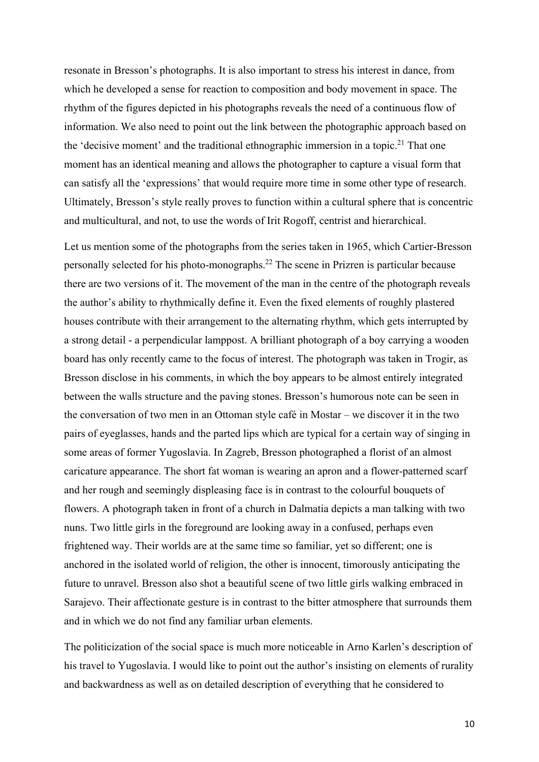resonate in Bresson's photographs. It is also important to stress his interest in dance, from which he developed a sense for reaction to composition and body movement in space. The rhythm of the figures depicted in his photographs reveals the need of a continuous flow of information. We also need to point out the link between the photographic approach based on the 'decisive moment' and the traditional ethnographic immersion in a topic.<sup>21</sup> That one moment has an identical meaning and allows the photographer to capture a visual form that can satisfy all the 'expressions' that would require more time in some other type of research. Ultimately, Bresson's style really proves to function within a cultural sphere that is concentric and multicultural, and not, to use the words of Irit Rogoff, centrist and hierarchical.

Let us mention some of the photographs from the series taken in 1965, which Cartier-Bresson personally selected for his photo-monographs.22 The scene in Prizren is particular because there are two versions of it. The movement of the man in the centre of the photograph reveals the author's ability to rhythmically define it. Even the fixed elements of roughly plastered houses contribute with their arrangement to the alternating rhythm, which gets interrupted by a strong detail - a perpendicular lamppost. A brilliant photograph of a boy carrying a wooden board has only recently came to the focus of interest. The photograph was taken in Trogir, as Bresson disclose in his comments, in which the boy appears to be almost entirely integrated between the walls structure and the paving stones. Bresson's humorous note can be seen in the conversation of two men in an Ottoman style café in Mostar – we discover it in the two pairs of eyeglasses, hands and the parted lips which are typical for a certain way of singing in some areas of former Yugoslavia. In Zagreb, Bresson photographed a florist of an almost caricature appearance. The short fat woman is wearing an apron and a flower-patterned scarf and her rough and seemingly displeasing face is in contrast to the colourful bouquets of flowers. A photograph taken in front of a church in Dalmatia depicts a man talking with two nuns. Two little girls in the foreground are looking away in a confused, perhaps even frightened way. Their worlds are at the same time so familiar, yet so different; one is anchored in the isolated world of religion, the other is innocent, timorously anticipating the future to unravel. Bresson also shot a beautiful scene of two little girls walking embraced in Sarajevo. Their affectionate gesture is in contrast to the bitter atmosphere that surrounds them and in which we do not find any familiar urban elements.

The politicization of the social space is much more noticeable in Arno Karlen's description of his travel to Yugoslavia. I would like to point out the author's insisting on elements of rurality and backwardness as well as on detailed description of everything that he considered to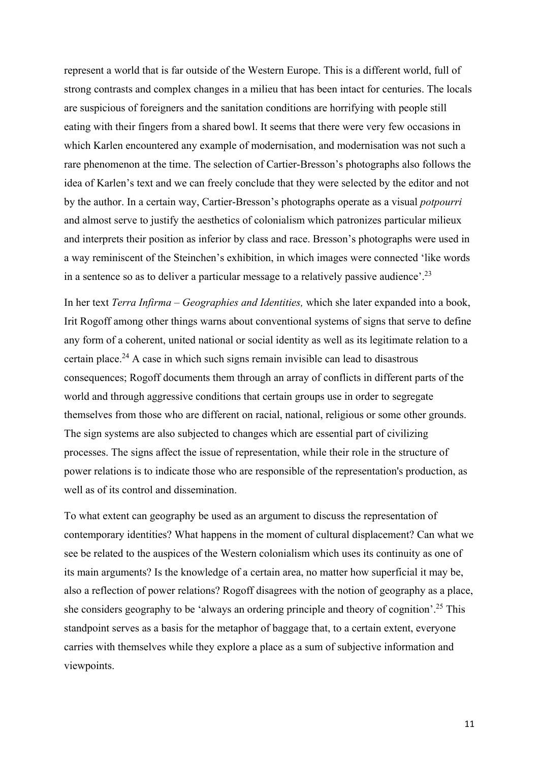represent a world that is far outside of the Western Europe. This is a different world, full of strong contrasts and complex changes in a milieu that has been intact for centuries. The locals are suspicious of foreigners and the sanitation conditions are horrifying with people still eating with their fingers from a shared bowl. It seems that there were very few occasions in which Karlen encountered any example of modernisation, and modernisation was not such a rare phenomenon at the time. The selection of Cartier-Bresson's photographs also follows the idea of Karlen's text and we can freely conclude that they were selected by the editor and not by the author. In a certain way, Cartier-Bresson's photographs operate as a visual *potpourri* and almost serve to justify the aesthetics of colonialism which patronizes particular milieux and interprets their position as inferior by class and race. Bresson's photographs were used in a way reminiscent of the Steinchen's exhibition, in which images were connected 'like words in a sentence so as to deliver a particular message to a relatively passive audience'.<sup>23</sup>

In her text *Terra Infirma – Geographies and Identities,* which she later expanded into a book, Irit Rogoff among other things warns about conventional systems of signs that serve to define any form of a coherent, united national or social identity as well as its legitimate relation to a certain place.<sup>24</sup> A case in which such signs remain invisible can lead to disastrous consequences; Rogoff documents them through an array of conflicts in different parts of the world and through aggressive conditions that certain groups use in order to segregate themselves from those who are different on racial, national, religious or some other grounds. The sign systems are also subjected to changes which are essential part of civilizing processes. The signs affect the issue of representation, while their role in the structure of power relations is to indicate those who are responsible of the representation's production, as well as of its control and dissemination.

To what extent can geography be used as an argument to discuss the representation of contemporary identities? What happens in the moment of cultural displacement? Can what we see be related to the auspices of the Western colonialism which uses its continuity as one of its main arguments? Is the knowledge of a certain area, no matter how superficial it may be, also a reflection of power relations? Rogoff disagrees with the notion of geography as a place, she considers geography to be 'always an ordering principle and theory of cognition'.<sup>25</sup> This standpoint serves as a basis for the metaphor of baggage that, to a certain extent, everyone carries with themselves while they explore a place as a sum of subjective information and viewpoints.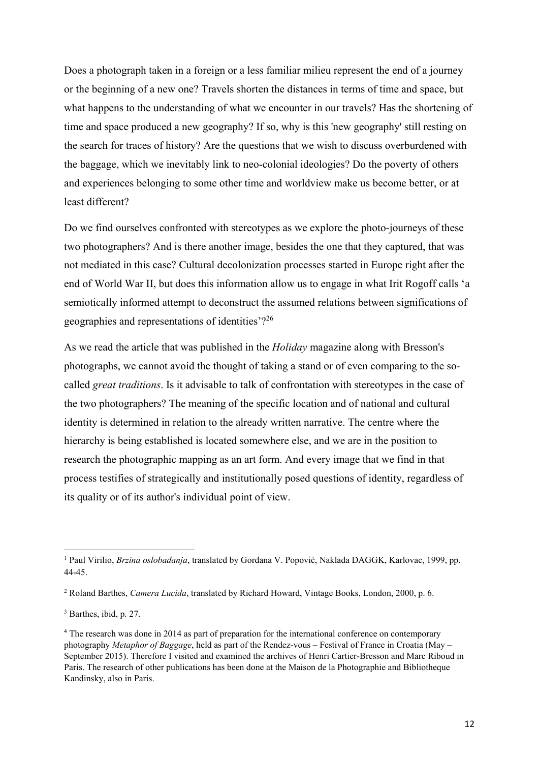Does a photograph taken in a foreign or a less familiar milieu represent the end of a journey or the beginning of a new one? Travels shorten the distances in terms of time and space, but what happens to the understanding of what we encounter in our travels? Has the shortening of time and space produced a new geography? If so, why is this 'new geography' still resting on the search for traces of history? Are the questions that we wish to discuss overburdened with the baggage, which we inevitably link to neo-colonial ideologies? Do the poverty of others and experiences belonging to some other time and worldview make us become better, or at least different?

Do we find ourselves confronted with stereotypes as we explore the photo-journeys of these two photographers? And is there another image, besides the one that they captured, that was not mediated in this case? Cultural decolonization processes started in Europe right after the end of World War II, but does this information allow us to engage in what Irit Rogoff calls 'a semiotically informed attempt to deconstruct the assumed relations between significations of geographies and representations of identities'?26

As we read the article that was published in the *Holiday* magazine along with Bresson's photographs, we cannot avoid the thought of taking a stand or of even comparing to the socalled *great traditions*. Is it advisable to talk of confrontation with stereotypes in the case of the two photographers? The meaning of the specific location and of national and cultural identity is determined in relation to the already written narrative. The centre where the hierarchy is being established is located somewhere else, and we are in the position to research the photographic mapping as an art form. And every image that we find in that process testifies of strategically and institutionally posed questions of identity, regardless of its quality or of its author's individual point of view.

<sup>1</sup> Paul Virilio, *Brzina oslobađanja*, translated by Gordana V. Popović, Naklada DAGGK, Karlovac, 1999, pp. 44-45.

<sup>2</sup> Roland Barthes, *Camera Lucida*, translated by Richard Howard, Vintage Books, London, 2000, p. 6.

<sup>3</sup> Barthes, ibid, p. 27.

<sup>4</sup> The research was done in 2014 as part of preparation for the international conference on contemporary photography *Metaphor of Baggage*, held as part of the Rendez-vous – Festival of France in Croatia (May – September 2015). Therefore I visited and examined the archives of Henri Cartier-Bresson and Marc Riboud in Paris. The research of other publications has been done at the Maison de la Photographie and Bibliotheque Kandinsky, also in Paris.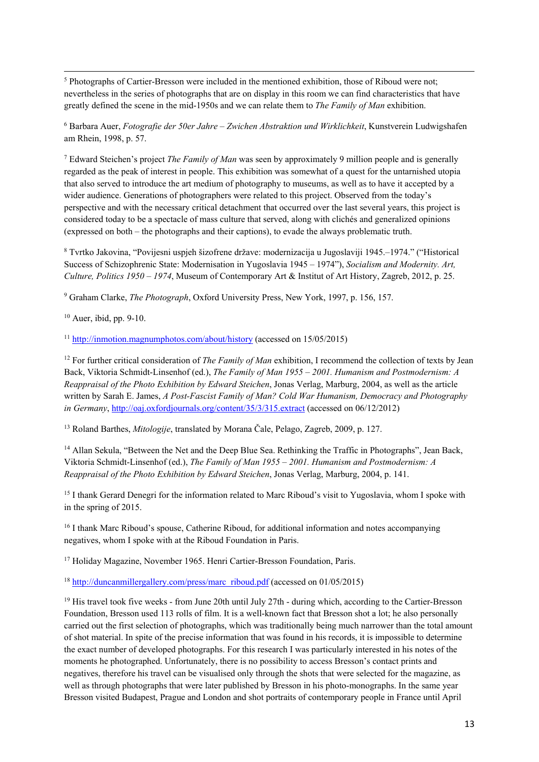<u> Andrewski politika (za obrazu za obrazu za obrazu za obrazu za obrazu za obrazu za obrazu za obrazu za obrazu</u> <sup>5</sup> Photographs of Cartier-Bresson were included in the mentioned exhibition, those of Riboud were not; nevertheless in the series of photographs that are on display in this room we can find characteristics that have greatly defined the scene in the mid-1950s and we can relate them to *The Family of Man* exhibition.

<sup>6</sup> Barbara Auer, *Fotografie der 50er Jahre – Zwichen Abstraktion und Wirklichkeit*, Kunstverein Ludwigshafen am Rhein, 1998, p. 57.

7 Edward Steichen's project *The Family of Man* was seen by approximately 9 million people and is generally regarded as the peak of interest in people. This exhibition was somewhat of a quest for the untarnished utopia that also served to introduce the art medium of photography to museums, as well as to have it accepted by a wider audience. Generations of photographers were related to this project. Observed from the today's perspective and with the necessary critical detachment that occurred over the last several years, this project is considered today to be a spectacle of mass culture that served, along with clichés and generalized opinions (expressed on both – the photographs and their captions), to evade the always problematic truth.

8 Tvrtko Jakovina, "Povijesni uspjeh šizofrene države: modernizacija u Jugoslaviji 1945.–1974." ("Historical Success of Schizophrenic State: Modernisation in Yugoslavia 1945 – 1974"), *Socialism and Modernity. Art, Culture, Politics 1950 – 1974*, Museum of Contemporary Art & Institut of Art History, Zagreb, 2012, p. 25.

9 Graham Clarke, *The Photograph*, Oxford University Press, New York, 1997, p. 156, 157.

 $10$  Auer, ibid, pp. 9-10.

<sup>11</sup> http://inmotion.magnumphotos.com/about/history (accessed on 15/05/2015)

<sup>12</sup> For further critical consideration of *The Family of Man* exhibition, I recommend the collection of texts by Jean Back, Viktoria Schmidt-Linsenhof (ed.), *The Family of Man 1955 – 2001. Humanism and Postmodernism: A Reappraisal of the Photo Exhibition by Edward Steichen*, Jonas Verlag, Marburg, 2004, as well as the article written by Sarah E. James, *A Post-Fascist Family of Man? Cold War Humanism, Democracy and Photography in Germany*, http://oaj.oxfordjournals.org/content/35/3/315.extract (accessed on 06/12/2012)

13 Roland Barthes, *Mitologije*, translated by Morana Čale, Pelago, Zagreb, 2009, p. 127.

<sup>14</sup> Allan Sekula, "Between the Net and the Deep Blue Sea. Rethinking the Traffic in Photographs", Jean Back, Viktoria Schmidt-Linsenhof (ed.), *The Family of Man 1955 – 2001. Humanism and Postmodernism: A Reappraisal of the Photo Exhibition by Edward Steichen*, Jonas Verlag, Marburg, 2004, p. 141.

15 I thank Gerard Denegri for the information related to Marc Riboud's visit to Yugoslavia, whom I spoke with in the spring of 2015.

<sup>16</sup> I thank Marc Riboud's spouse, Catherine Riboud, for additional information and notes accompanying negatives, whom I spoke with at the Riboud Foundation in Paris.

17 Holiday Magazine, November 1965. Henri Cartier-Bresson Foundation, Paris.

<sup>18</sup> http://duncanmillergallery.com/press/marc\_riboud.pdf (accessed on 01/05/2015)

<sup>19</sup> His travel took five weeks - from June 20th until July 27th - during which, according to the Cartier-Bresson Foundation, Bresson used 113 rolls of film. It is a well-known fact that Bresson shot a lot; he also personally carried out the first selection of photographs, which was traditionally being much narrower than the total amount of shot material. In spite of the precise information that was found in his records, it is impossible to determine the exact number of developed photographs. For this research I was particularly interested in his notes of the moments he photographed. Unfortunately, there is no possibility to access Bresson's contact prints and negatives, therefore his travel can be visualised only through the shots that were selected for the magazine, as well as through photographs that were later published by Bresson in his photo-monographs. In the same year Bresson visited Budapest, Prague and London and shot portraits of contemporary people in France until April